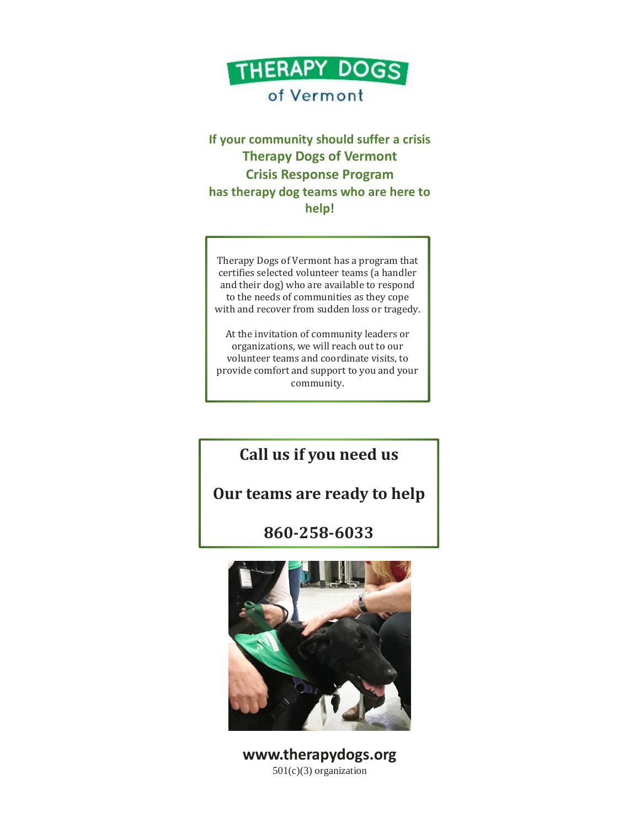

## of Vermont

**If your community should suffer a crisis Therapy Dogs of Vermont Crisis Response Program has therapy dog teams who are here to help!**

Therapy Dogs of Vermont has a program that certifies selected volunteer teams (a handler and their dog) who are available to respond to the needs of communities as they cope with and recover from sudden loss or tragedy.

At the invitation of community leaders or organizations, we will reach out to our volunteer teams and coordinate visits, to provide comfort and support to you and your community.

**Call us if you need us**

## **Our teams are ready to help**

## **860-258-6033**



**www.therapydogs.org** 501(c)(3) organization